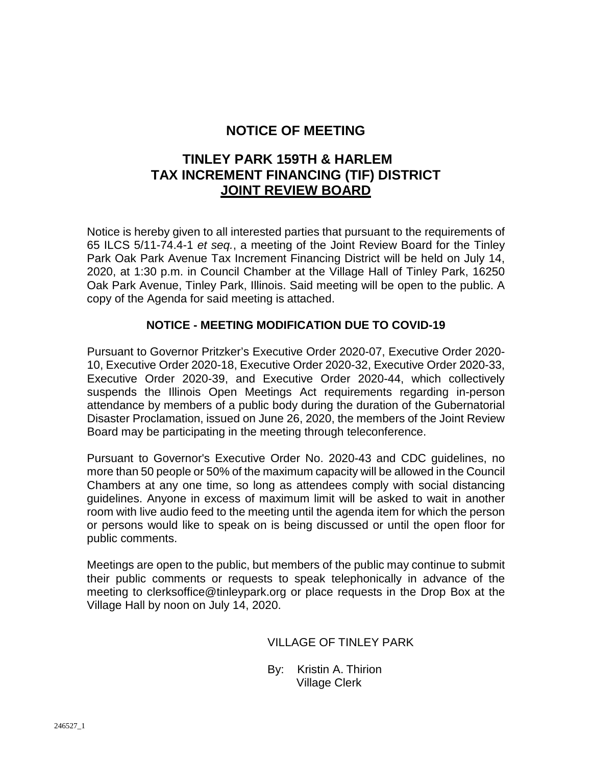## **NOTICE OF MEETING**

# **TINLEY PARK 159TH & HARLEM TAX INCREMENT FINANCING (TIF) DISTRICT JOINT REVIEW BOARD**

Notice is hereby given to all interested parties that pursuant to the requirements of 65 ILCS 5/11-74.4-1 *et seq.*, a meeting of the Joint Review Board for the Tinley Park Oak Park Avenue Tax Increment Financing District will be held on July 14, 2020, at 1:30 p.m. in Council Chamber at the Village Hall of Tinley Park, 16250 Oak Park Avenue, Tinley Park, Illinois. Said meeting will be open to the public. A copy of the Agenda for said meeting is attached.

## **NOTICE - MEETING MODIFICATION DUE TO COVID-19**

Pursuant to Governor Pritzker's Executive Order 2020-07, Executive Order 2020- 10, Executive Order 2020-18, Executive Order 2020-32, Executive Order 2020-33, Executive Order 2020-39, and Executive Order 2020-44, which collectively suspends the Illinois Open Meetings Act requirements regarding in-person attendance by members of a public body during the duration of the Gubernatorial Disaster Proclamation, issued on June 26, 2020, the members of the Joint Review Board may be participating in the meeting through teleconference.

Pursuant to Governor's Executive Order No. 2020-43 and CDC guidelines, no more than 50 people or 50% of the maximum capacity will be allowed in the Council Chambers at any one time, so long as attendees comply with social distancing guidelines. Anyone in excess of maximum limit will be asked to wait in another room with live audio feed to the meeting until the agenda item for which the person or persons would like to speak on is being discussed or until the open floor for public comments.

Meetings are open to the public, but members of the public may continue to submit their public comments or requests to speak telephonically in advance of the meeting to clerksoffice@tinleypark.org or place requests in the Drop Box at the Village Hall by noon on July 14, 2020.

### VILLAGE OF TINLEY PARK

By: Kristin A. Thirion Village Clerk